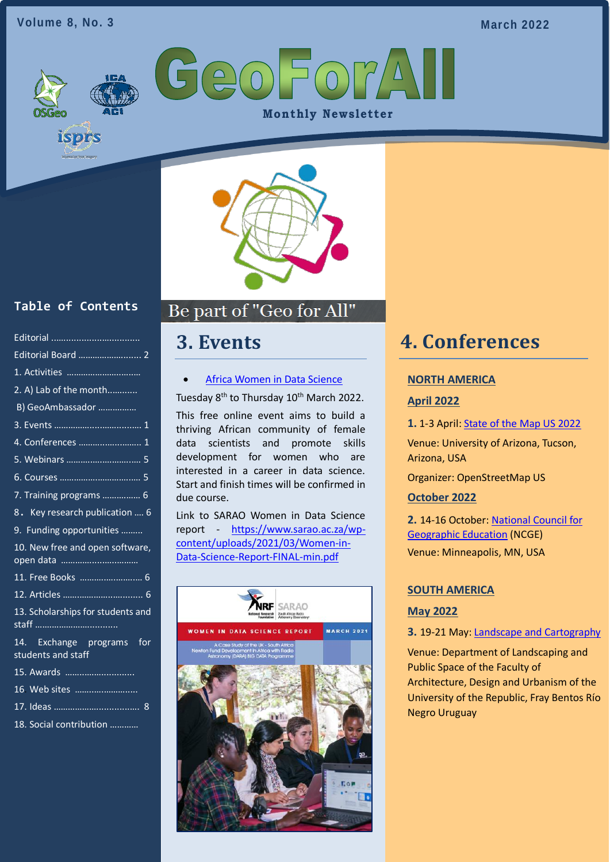#### **Volume 8, No. 3**

**March 2022**

GeoForA **Monthly Newsletter** 



## **Table of Contents**

isprs

| 2. A) Lab of the month                          |
|-------------------------------------------------|
| B) GeoAmbassador                                |
|                                                 |
|                                                 |
|                                                 |
| 6. Courses <del></del> 5                        |
| 7. Training programs  6                         |
| 8. Key research publication  6                  |
| 9. Funding opportunities                        |
| 10. New free and open software,                 |
| 11. Free Books  6                               |
|                                                 |
| 13. Scholarships for students and               |
|                                                 |
| 14. Exchange programs for<br>students and staff |

|  | 16 Web sites |
|--|--------------|
|  |              |

- [17. Ideas ………………....](#page-7-0).........…. 8
- 18. Social contribution …………

## Be part of "Geo for All" Ī

## <span id="page-0-0"></span>**3. Events**

#### • Africa Women in Data Science

Tuesday 8<sup>th</sup> to Thursday 10<sup>th</sup> March 2022.

This free online event aims to build a thriving African community of female data scientists and promote skills development for women who are interested in a career in data science. Start and finish times will be confirmed in due course.

Link to SARAO Women in Data Science report - [https://www.sarao.ac.za/wp](https://www.google.com/url?q=https://www.sarao.ac.za/wp-content/uploads/2021/03/Women-in-Data-Science-Report-FINAL-min.pdf&sa=D&source=editors&ust=1643460914738211&usg=AOvVaw2FMvtNU_YPDDj3h2BrLOjz)[content/uploads/2021/03/Women-in-](https://www.google.com/url?q=https://www.sarao.ac.za/wp-content/uploads/2021/03/Women-in-Data-Science-Report-FINAL-min.pdf&sa=D&source=editors&ust=1643460914738211&usg=AOvVaw2FMvtNU_YPDDj3h2BrLOjz)[Data-Science-Report-FINAL-min.pdf](https://www.google.com/url?q=https://www.sarao.ac.za/wp-content/uploads/2021/03/Women-in-Data-Science-Report-FINAL-min.pdf&sa=D&source=editors&ust=1643460914738211&usg=AOvVaw2FMvtNU_YPDDj3h2BrLOjz)



## <span id="page-0-1"></span>**4. Conferences**

#### **NORTH AMERICA**

#### **April 2022**

**1.** 1-3 April: [State of the Map US 2022](https://2022.stateofthemap.us/)

Venue: University of Arizona, Tucson, Arizona, USA

Organizer: OpenStreetMap US

#### **October 2022**

**2.** 14-16 October: [National Council for](https://ncge.org/)  [Geographic Education](https://ncge.org/) (NCGE) Venue: Minneapolis, MN, USA

### **SOUTH AMERICA**

#### **May 2022**

#### **3.** 19-21 May: [Landscape and Cartography](https://www.ombues.edu.uy/paisajeycartografia/)

Venue: Department of Landscaping and Public Space of the Faculty of Architecture, Design and Urbanism of the University of the Republic, Fray Bentos Río Negro Uruguay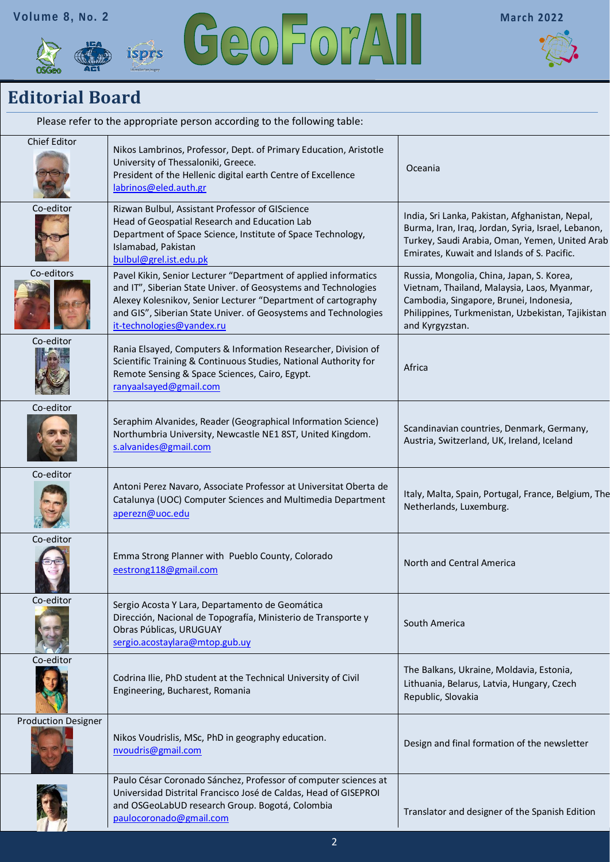





## <span id="page-1-0"></span>**Editorial Board**

| Please refer to the appropriate person according to the following table: |                                                                                                                                                                                                                                                                                                    |                                                                                                                                                                                                             |  |  |
|--------------------------------------------------------------------------|----------------------------------------------------------------------------------------------------------------------------------------------------------------------------------------------------------------------------------------------------------------------------------------------------|-------------------------------------------------------------------------------------------------------------------------------------------------------------------------------------------------------------|--|--|
| <b>Chief Editor</b>                                                      | Nikos Lambrinos, Professor, Dept. of Primary Education, Aristotle<br>University of Thessaloniki, Greece.<br>President of the Hellenic digital earth Centre of Excellence<br>labrinos@eled.auth.gr                                                                                                  | Oceania                                                                                                                                                                                                     |  |  |
| Co-editor                                                                | Rizwan Bulbul, Assistant Professor of GIScience<br>Head of Geospatial Research and Education Lab<br>Department of Space Science, Institute of Space Technology,<br>Islamabad, Pakistan<br>bulbul@grel.ist.edu.pk                                                                                   | India, Sri Lanka, Pakistan, Afghanistan, Nepal,<br>Burma, Iran, Iraq, Jordan, Syria, Israel, Lebanon,<br>Turkey, Saudi Arabia, Oman, Yemen, United Arab<br>Emirates, Kuwait and Islands of S. Pacific.      |  |  |
| Co-editors                                                               | Pavel Kikin, Senior Lecturer "Department of applied informatics<br>and IT", Siberian State Univer. of Geosystems and Technologies<br>Alexey Kolesnikov, Senior Lecturer "Department of cartography<br>and GIS", Siberian State Univer. of Geosystems and Technologies<br>it-technologies@yandex.ru | Russia, Mongolia, China, Japan, S. Korea,<br>Vietnam, Thailand, Malaysia, Laos, Myanmar,<br>Cambodia, Singapore, Brunei, Indonesia,<br>Philippines, Turkmenistan, Uzbekistan, Tajikistan<br>and Kyrgyzstan. |  |  |
| Co-editor                                                                | Rania Elsayed, Computers & Information Researcher, Division of<br>Scientific Training & Continuous Studies, National Authority for<br>Remote Sensing & Space Sciences, Cairo, Egypt.<br>ranyaalsayed@gmail.com                                                                                     | Africa                                                                                                                                                                                                      |  |  |
| Co-editor                                                                | Seraphim Alvanides, Reader (Geographical Information Science)<br>Northumbria University, Newcastle NE1 8ST, United Kingdom.<br>s.alvanides@gmail.com                                                                                                                                               | Scandinavian countries, Denmark, Germany,<br>Austria, Switzerland, UK, Ireland, Iceland                                                                                                                     |  |  |
| Co-editor                                                                | Antoni Perez Navaro, Associate Professor at Universitat Oberta de<br>Catalunya (UOC) Computer Sciences and Multimedia Department<br>aperezn@uoc.edu                                                                                                                                                | Italy, Malta, Spain, Portugal, France, Belgium, The<br>Netherlands, Luxemburg.                                                                                                                              |  |  |
| Co-editor                                                                | Emma Strong Planner with Pueblo County, Colorado<br>eestrong118@gmail.com                                                                                                                                                                                                                          | North and Central America                                                                                                                                                                                   |  |  |
| Co-editor                                                                | Sergio Acosta Y Lara, Departamento de Geomática<br>Dirección, Nacional de Topografía, Ministerio de Transporte y<br>Obras Públicas, URUGUAY<br>sergio.acostaylara@mtop.gub.uy                                                                                                                      | South America                                                                                                                                                                                               |  |  |
| Co-editor                                                                | Codrina Ilie, PhD student at the Technical University of Civil<br>Engineering, Bucharest, Romania                                                                                                                                                                                                  | The Balkans, Ukraine, Moldavia, Estonia,<br>Lithuania, Belarus, Latvia, Hungary, Czech<br>Republic, Slovakia                                                                                                |  |  |
| <b>Production Designer</b>                                               | Nikos Voudrislis, MSc, PhD in geography education.<br>nvoudris@gmail.com                                                                                                                                                                                                                           | Design and final formation of the newsletter                                                                                                                                                                |  |  |
|                                                                          | Paulo César Coronado Sánchez, Professor of computer sciences at<br>Universidad Distrital Francisco José de Caldas, Head of GISEPROI<br>and OSGeoLabUD research Group. Bogotá, Colombia<br>paulocoronado@gmail.com                                                                                  | Translator and designer of the Spanish Edition                                                                                                                                                              |  |  |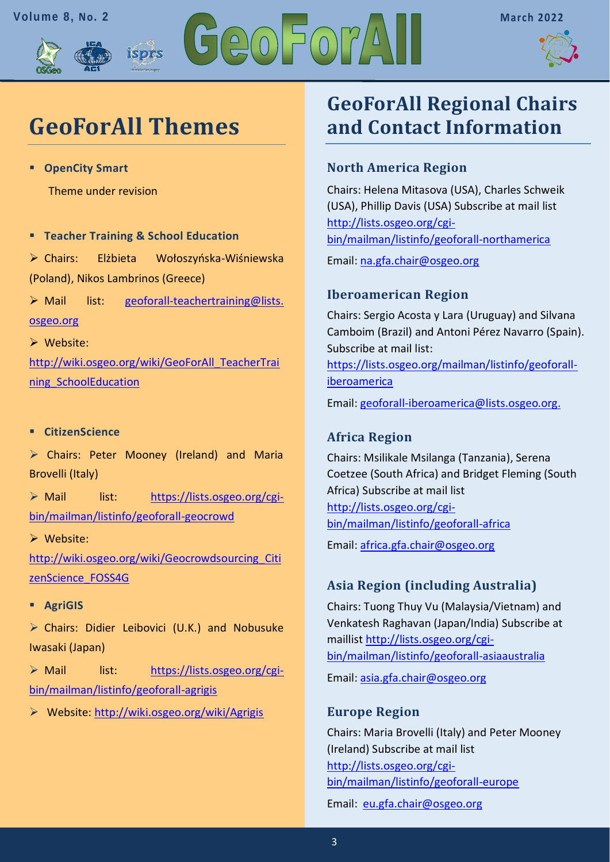





# **GeoForAll Themes**

isprs

▪ **OpenCity Smart** 

Theme under revision

▪ **Teacher Training & School Education** 

➢ Chairs: Elżbieta Wołoszyńska-Wiśniewska (Poland), Nikos Lambrinos (Greece)

➢ Mail list: [geoforall-teachertraining@lists.](mailto:geoforall-teachertraining@lists.osgeo.org)  [osgeo.org](mailto:geoforall-teachertraining@lists.osgeo.org)

➢ Website:

[http://wiki.osgeo.org/wiki/GeoForAll\\_TeacherTrai](http://wiki.osgeo.org/wiki/GeoForAll_TeacherTraining_SchoolEducation) [ning\\_SchoolEducation](http://wiki.osgeo.org/wiki/GeoForAll_TeacherTraining_SchoolEducation)

### ▪ **CitizenScience**

➢ Chairs: Peter Mooney (Ireland) and Maria Brovelli (Italy)

➢ Mail list: [https://lists.osgeo.org/cgi](https://lists.osgeo.org/cgi-bin/mailman/listinfo/geoforall-geocrowd)[bin/mailman/listinfo/geoforall-geocrowd](https://lists.osgeo.org/cgi-bin/mailman/listinfo/geoforall-geocrowd)

➢ Website:

[http://wiki.osgeo.org/wiki/Geocrowdsourcing\\_Citi](http://wiki.osgeo.org/wiki/Geocrowdsourcing_CitizenScience_FOSS4G) [zenScience\\_FOSS4G](http://wiki.osgeo.org/wiki/Geocrowdsourcing_CitizenScience_FOSS4G)

▪ **AgriGIS**

➢ Chairs: Didier Leibovici (U.K.) and Nobusuke Iwasaki (Japan)

➢ Mail list: [https://lists.osgeo.org/cgi](https://lists.osgeo.org/cgi-bin/mailman/listinfo/geoforall-agrigis)[bin/mailman/listinfo/geoforall-agrigis](https://lists.osgeo.org/cgi-bin/mailman/listinfo/geoforall-agrigis)

➢ Website:<http://wiki.osgeo.org/wiki/Agrigis>

## **GeoForAll Regional Chairs and Contact Information**

## **North America Region**

Chairs: Helena Mitasova (USA), Charles Schweik (USA), Phillip Davis (USA) Subscribe at mail list [http://lists.osgeo.org/cgi](http://lists.osgeo.org/cgi-bin/mailman/listinfo/geoforall-northamerica)[bin/mailman/listinfo/geoforall-northamerica](http://lists.osgeo.org/cgi-bin/mailman/listinfo/geoforall-northamerica)

Email: [na.gfa.chair@osgeo.org](mailto:na.gfa.chair@osgeo.org)

## **Iberoamerican Region**

Chairs: Sergio Acosta y Lara (Uruguay) and Silvana Camboim (Brazil) and Antoni Pérez Navarro (Spain). Subscribe at mail list:

[https://lists.osgeo.org/mailman/listinfo/geoforall](https://lists.osgeo.org/mailman/listinfo/geoforall-iberoamerica)[iberoamerica](https://lists.osgeo.org/mailman/listinfo/geoforall-iberoamerica)

Email: [geoforall-iberoamerica@lists.osgeo.org.](mailto:geoforall-iberoamerica@lists.osgeo.org)

### **Africa Region**

Chairs: Msilikale Msilanga (Tanzania), Serena Coetzee (South Africa) and Bridget Fleming (South Africa) Subscribe at mail list [http://lists.osgeo.org/cgi](http://lists.osgeo.org/cgi-bin/mailman/listinfo/geoforall-africa)[bin/mailman/listinfo/geoforall-africa](http://lists.osgeo.org/cgi-bin/mailman/listinfo/geoforall-africa)

Email: [africa.gfa.chair@osgeo.org](mailto:africa.gfa.chair@osgeo.org)

## **Asia Region (including Australia)**

Chairs: Tuong Thuy Vu (Malaysia/Vietnam) and Venkatesh Raghavan (Japan/India) Subscribe at maillist [http://lists.osgeo.org/cgi](http://lists.osgeo.org/cgi-bin/mailman/listinfo/geoforall-asiaaustralia)[bin/mailman/listinfo/geoforall-asiaaustralia](http://lists.osgeo.org/cgi-bin/mailman/listinfo/geoforall-asiaaustralia) Email: [asia.gfa.chair@osgeo.org](mailto:asia.gfa.chair@osgeo.org)

### **Europe Region**

Chairs: Maria Brovelli (Italy) and Peter Mooney (Ireland) Subscribe at mail list [http://lists.osgeo.org/cgi](http://lists.osgeo.org/cgi-bin/mailman/listinfo/geoforall-europe)[bin/mailman/listinfo/geoforall-europe](http://lists.osgeo.org/cgi-bin/mailman/listinfo/geoforall-europe)

Email: [eu.gfa.chair@osgeo.org](mailto:eu.gfa.chair@osgeo.org)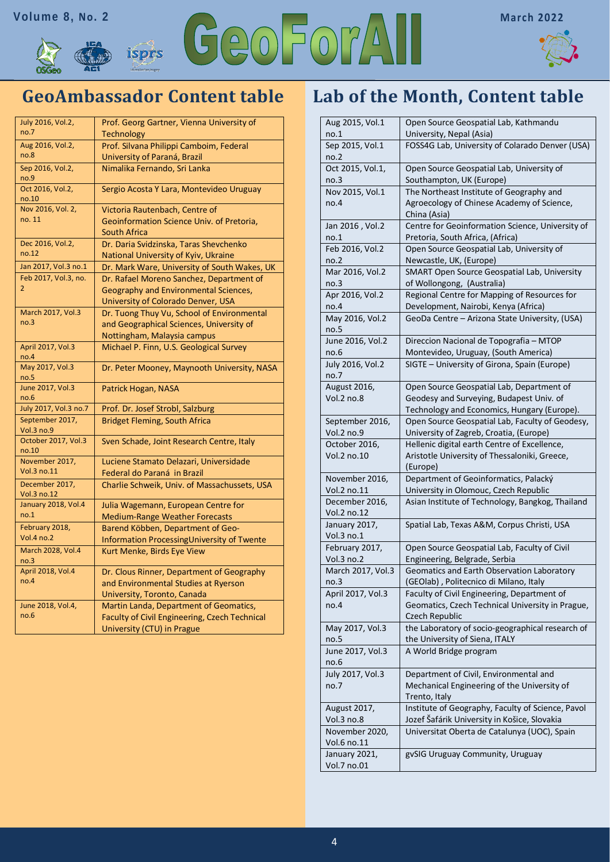



## **GeoAmbassador Content table**

| July 2016, Vol.2,             | Prof. Georg Gartner, Vienna University of     |
|-------------------------------|-----------------------------------------------|
| no.7                          | <b>Technology</b>                             |
| Aug 2016, Vol.2,              | Prof. Silvana Philippi Camboim, Federal       |
| no.8                          | University of Paraná, Brazil                  |
| Sep 2016, Vol.2,<br>no.9      | Nimalika Fernando, Sri Lanka                  |
| Oct 2016, Vol.2,<br>no.10     | Sergio Acosta Y Lara, Montevideo Uruguay      |
| Nov 2016, Vol. 2,             | Victoria Rautenbach, Centre of                |
| no. 11                        | Geoinformation Science Univ. of Pretoria,     |
|                               | <b>South Africa</b>                           |
| Dec 2016, Vol.2,              | Dr. Daria Svidzinska, Taras Shevchenko        |
| no.12                         | National University of Kyiv, Ukraine          |
| Jan 2017, Vol.3 no.1          | Dr. Mark Ware, University of South Wakes, UK  |
| Feb 2017, Vol.3, no.          | Dr. Rafael Moreno Sanchez, Department of      |
| 2                             | Geography and Environmental Sciences,         |
|                               | University of Colorado Denver, USA            |
| March 2017, Vol.3             | Dr. Tuong Thuy Vu, School of Environmental    |
| no.3                          | and Geographical Sciences, University of      |
|                               | Nottingham, Malaysia campus                   |
| April 2017, Vol.3<br>no.4     | Michael P. Finn, U.S. Geological Survey       |
| May 2017, Vol.3<br>no.5       | Dr. Peter Mooney, Maynooth University, NASA   |
| June 2017, Vol.3<br>no.6      | Patrick Hogan, NASA                           |
| July 2017, Vol.3 no.7         | Prof. Dr. Josef Strobl, Salzburg              |
| September 2017,<br>Vol.3 no.9 | <b>Bridget Fleming, South Africa</b>          |
| October 2017, Vol.3<br>no.10  | Sven Schade, Joint Research Centre, Italy     |
| November 2017,                | Luciene Stamato Delazari, Universidade        |
| Vol.3 no.11                   | Federal do Paraná in Brazil                   |
| December 2017,<br>Vol.3 no.12 | Charlie Schweik, Univ. of Massachussets, USA  |
| January 2018, Vol.4           | Julia Wagemann, European Centre for           |
| no.1                          | <b>Medium-Range Weather Forecasts</b>         |
| February 2018,                | Barend Köbben, Department of Geo-             |
| Vol.4 no.2                    | Information Processing University of Twente   |
| March 2028, Vol.4<br>no.3     | Kurt Menke, Birds Eye View                    |
| April 2018, Vol.4             | Dr. Clous Rinner, Department of Geography     |
| no.4                          | and Environmental Studies at Ryerson          |
|                               | University, Toronto, Canada                   |
| June 2018, Vol.4,             | Martin Landa, Department of Geomatics,        |
| no.6                          | Faculty of Civil Engineering, Czech Technical |
|                               | University (CTU) in Prague                    |

## **Lab of the Month, Content table**

| Aug 2015, Vol.1<br>no.1       | Open Source Geospatial Lab, Kathmandu<br>University, Nepal (Asia)                          |
|-------------------------------|--------------------------------------------------------------------------------------------|
| Sep 2015, Vol.1               | FOSS4G Lab, University of Colarado Denver (USA)                                            |
| no.2                          |                                                                                            |
| Oct 2015, Vol.1,              | Open Source Geospatial Lab, University of                                                  |
| no.3                          | Southampton, UK (Europe)                                                                   |
| Nov 2015, Vol.1               | The Northeast Institute of Geography and                                                   |
| no.4                          | Agroecology of Chinese Academy of Science,<br>China (Asia)                                 |
| Jan 2016, Vol.2               | Centre for Geoinformation Science, University of                                           |
| no.1                          | Pretoria, South Africa, (Africa)                                                           |
| Feb 2016, Vol.2               | Open Source Geospatial Lab, University of                                                  |
| no.2                          | Newcastle, UK, (Europe)                                                                    |
| Mar 2016, Vol.2               | SMART Open Source Geospatial Lab, University                                               |
| no.3                          | of Wollongong, (Australia)                                                                 |
| Apr 2016, Vol.2<br>no.4       | Regional Centre for Mapping of Resources for<br>Development, Nairobi, Kenya (Africa)       |
| May 2016, Vol.2               | GeoDa Centre - Arizona State University, (USA)                                             |
| no.5                          |                                                                                            |
| June 2016, Vol.2              | Direccion Nacional de Topografia - MTOP                                                    |
| no.6                          | Montevideo, Uruguay, (South America)                                                       |
| July 2016, Vol.2              | SIGTE - University of Girona, Spain (Europe)                                               |
| no.7                          |                                                                                            |
| August 2016,                  | Open Source Geospatial Lab, Department of                                                  |
| Vol.2 no.8                    | Geodesy and Surveying, Budapest Univ. of                                                   |
|                               | Technology and Economics, Hungary (Europe).                                                |
| September 2016,<br>Vol.2 no.9 | Open Source Geospatial Lab, Faculty of Geodesy,<br>University of Zagreb, Croatia, (Europe) |
| October 2016,                 | Hellenic digital earth Centre of Excellence,                                               |
| Vol.2 no.10                   | Aristotle University of Thessaloniki, Greece,                                              |
|                               | (Europe)                                                                                   |
| November 2016,                | Department of Geoinformatics, Palacký                                                      |
| Vol.2 no.11                   | University in Olomouc, Czech Republic                                                      |
| December 2016,<br>Vol.2 no.12 | Asian Institute of Technology, Bangkog, Thailand                                           |
| January 2017,                 | Spatial Lab, Texas A&M, Corpus Christi, USA                                                |
| Vol.3 no.1                    |                                                                                            |
| February 2017,                | Open Source Geospatial Lab, Faculty of Civil                                               |
| Vol.3 no.2                    | Engineering, Belgrade, Serbia                                                              |
| March 2017, Vol.3             | Geomatics and Earth Observation Laboratory                                                 |
| no.3                          | (GEOlab), Politecnico di Milano, Italy                                                     |
| April 2017, Vol.3             | Faculty of Civil Engineering, Department of                                                |
| no.4                          | Geomatics, Czech Technical University in Prague,                                           |
|                               | Czech Republic                                                                             |
| May 2017, Vol.3               | the Laboratory of socio-geographical research of                                           |
| no.5                          | the University of Siena, ITALY                                                             |
| June 2017, Vol.3<br>no.6      | A World Bridge program                                                                     |
| July 2017, Vol.3              | Department of Civil, Environmental and                                                     |
| no.7                          | Mechanical Engineering of the University of                                                |
|                               | Trento, Italy                                                                              |
| August 2017,                  | Institute of Geography, Faculty of Science, Pavol                                          |
| Vol.3 no.8                    | Jozef Šafárik University in Košice, Slovakia                                               |
| November 2020,                | Universitat Oberta de Catalunya (UOC), Spain                                               |
| Vol.6 no.11                   |                                                                                            |
| January 2021,                 | gvSIG Uruguay Community, Uruguay                                                           |
| Vol.7 no.01                   |                                                                                            |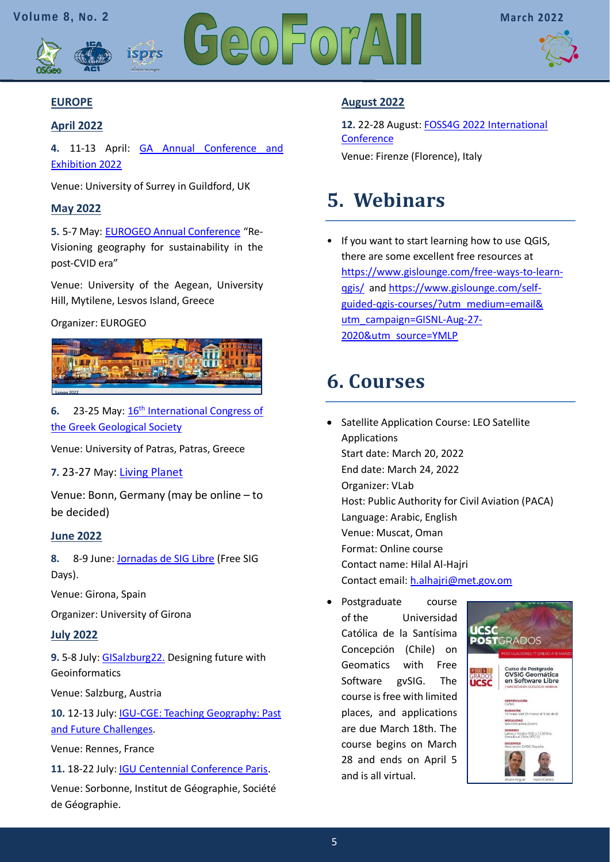



## **EUROPE**

### **April 2022**

**4.** 11-13 April: [GA Annual Conference and](https://www.geography.org.uk/events/ga-annual-conference-and-exhibition-2022/13445?OccId=18453)  [Exhibition 2022](https://www.geography.org.uk/events/ga-annual-conference-and-exhibition-2022/13445?OccId=18453)

Venue: University of Surrey in Guildford, UK

isprs

### **May 2022**

**5.** 5-7 May: [EUROGEO Annual Conference](https://www.eurogeography.eu/conferences/lesvos-2022/) "Re-Visioning geography for sustainability in the post-CVID era"

Venue: University of the Aegean, University Hill, Mytilene, Lesvos Island, Greece

#### Organizer: EUROGEO



**6.** 23-25 May[: 16](https://gsg2022.gr/)[th](https://gsg2022.gr/) [International Congress of](https://gsg2022.gr/)  [the Greek Geological Society](https://gsg2022.gr/)

Venue: University of Patras, Patras, Greece

**7.** 23-27 May: [Living](https://lps22.esa.int/frontend/index.php?folder_id=4254&page_id=) [Planet](https://lps22.esa.int/frontend/index.php?folder_id=4254&page_id=)

Venue: Bonn, Germany (may be online – to be decided)

#### **June 2022**

**8.** 8-9 June: [Jornadas de SIG Libre](https://www.jornadassiglibre.org/) (Free SIG Days).

Venue: Girona, Spain

Organizer: University of Girona

#### **July 2022**

**9.** 5-8 July: [GISalzburg22.](https://gi-salzburg.org/en/) Designing future with **Geoinformatics** 

Venue: Salzburg, Austria

**10.** 12-13 July[: IGU-CGE: Teaching Geography: Past](https://ugicge.sciencesconf.org/)  [and Future Challenges.](https://ugicge.sciencesconf.org/)

Venue: Rennes, France

**11.** 18-22 July[: IGU Centennial Conference Paris.](https://www.ugiparis2022.org/index.php?langue=en&onglet=4&acces=&idUser=&emailUser=)

Venue: Sorbonne, Institut de Géographie, Société de Géographie.

### **August 2022**

**12.** 22-28 August: [FOSS4G 2022 International](https://2022.foss4g.org/)  **[Conference](https://2022.foss4g.org/)** Venue: Firenze (Florence), Italy

# <span id="page-4-0"></span>**5. Webinars**

• If you want to start learning how to use QGIS, there are some excellent free resources at [https://www.gislounge.com/free-ways-to-learn](https://www.gislounge.com/free-ways-to-learn-qgis/)[qgis/](https://www.gislounge.com/free-ways-to-learn-qgis/) and [https://www.gislounge.com/self](https://www.gislounge.com/self-guided-qgis-courses/?utm_medium=email&%20utm_campaign=GISNL-Aug-27-2020&utm_source=YMLP)[guided-qgis-courses/?utm\\_medium=email&](https://www.gislounge.com/self-guided-qgis-courses/?utm_medium=email&%20utm_campaign=GISNL-Aug-27-2020&utm_source=YMLP)  [utm\\_campaign=GISNL-Aug-27-](https://www.gislounge.com/self-guided-qgis-courses/?utm_medium=email&%20utm_campaign=GISNL-Aug-27-2020&utm_source=YMLP) [2020&utm\\_source=YMLP](https://www.gislounge.com/self-guided-qgis-courses/?utm_medium=email&%20utm_campaign=GISNL-Aug-27-2020&utm_source=YMLP)

## <span id="page-4-1"></span>**6. Courses**

- Satellite Application Course: LEO Satellite Applications Start date: March 20, 2022 End date: March 24, 2022 Organizer: VLab Host: Public Authority for Civil Aviation (PACA) Language: Arabic, English Venue: Muscat, Oman Format: Online course Contact name: Hilal Al-Hajri Contact email: [h.alhajri@met.gov.om](mailto:h.alhajri@met.gov.om?subject=)
- Postgraduate course of the Universidad Católica de la Santísima Concepción (Chile) on Geomatics with Free Software gvSIG. The course is free with limited places, and applications are due March 18th. The course begins on March 28 and ends on April 5 and is all virtual.

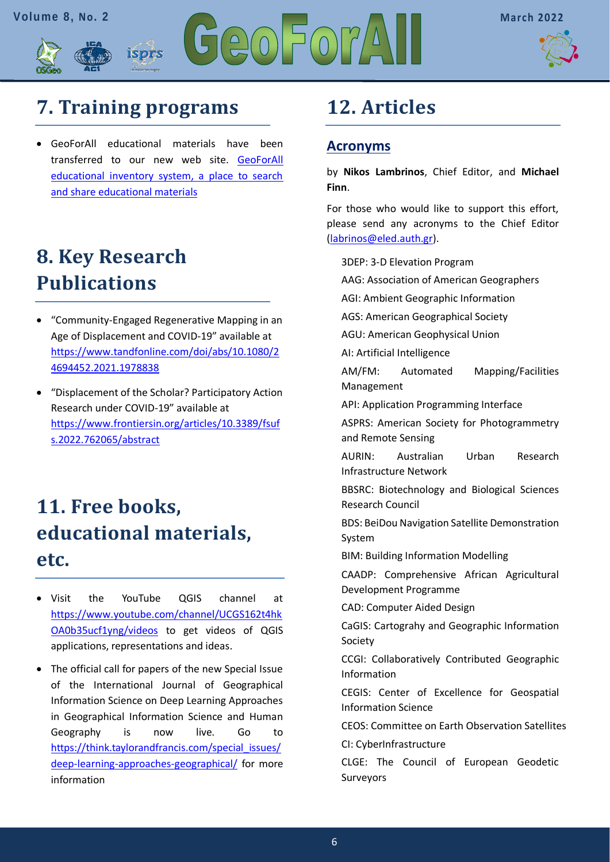



# <span id="page-5-0"></span>**[7. Training programs](#page-5-0)**

isprs

• GeoForAll educational materials have been transferred to our new web site. [GeoForAll](https://www.osgeo.org/resources/)  [educational inventory system, a place to search](https://www.osgeo.org/resources/)  [and share educational materials](https://www.osgeo.org/resources/)

# <span id="page-5-1"></span>**[8. Key Research](#page-5-1)  [Publications](#page-5-1)**

- "Community-Engaged Regenerative Mapping in an Age of Displacement and COVID-19" available at [https://www.tandfonline.com/doi/abs/10.1080/2](https://www.tandfonline.com/doi/abs/10.1080/24694452.2021.1978838) [4694452.2021.1978838](https://www.tandfonline.com/doi/abs/10.1080/24694452.2021.1978838)
- "Displacement of the Scholar? Participatory Action Research under COVID-19" available at [https://www.frontiersin.org/articles/10.3389/fsuf](https://www.frontiersin.org/articles/10.3389/fsufs.2022.762065/abstract) [s.2022.762065/abstract](https://www.frontiersin.org/articles/10.3389/fsufs.2022.762065/abstract)

# <span id="page-5-2"></span>**11. Free books, educational materials, etc.**

- Visit the YouTube QGIS channel at [https://www.youtube.com/channel/UCGS162t4hk](https://www.youtube.com/channel/UCGS162t4hkOA0b35ucf1yng/videos) [OA0b35ucf1yng/videos](https://www.youtube.com/channel/UCGS162t4hkOA0b35ucf1yng/videos) to get videos of QGIS applications, representations and ideas.
- The official call for papers of the new Special Issue of the International Journal of Geographical Information Science on Deep Learning Approaches in Geographical Information Science and Human Geography is now live. Go to [https://think.taylorandfrancis.com/special\\_issues/](https://think.taylorandfrancis.com/special_issues/deep-learning-approaches-geographical/) [deep-learning-approaches-geographical/](https://think.taylorandfrancis.com/special_issues/deep-learning-approaches-geographical/) for more information

# <span id="page-5-3"></span>**12. Articles**

## **Acronyms**

by **Nikos Lambrinos**, Chief Editor, and **Michael Finn**.

For those who would like to support this effort, please send any acronyms to the Chief Editor [\(labrinos@eled.auth.gr\)](mailto:labrinos@eled.auth.gr).

3DEP: 3-D Elevation Program

AAG: Association of American Geographers

AGI: Ambient Geographic Information

AGS: American Geographical Society

AGU: American Geophysical Union

AI: Artificial Intelligence

AM/FM: Automated Mapping/Facilities Management

API: Application Programming Interface

ASPRS: American Society for Photogrammetry and Remote Sensing

AURIN: Australian Urban Research Infrastructure Network

BBSRC: Biotechnology and Biological Sciences Research Council

BDS: BeiDou Navigation Satellite Demonstration System

BIM: Building Information Modelling

CAADP: Comprehensive African Agricultural Development Programme

CAD: Computer Aided Design

CaGIS: Cartograhy and Geographic Information Society

CCGI: Collaboratively Contributed Geographic Information

CEGIS: Center of Excellence for Geospatial Information Science

CEOS: Committee on Earth Observation Satellites

CI: CyberInfrastructure

CLGE: The Council of European Geodetic Surveyors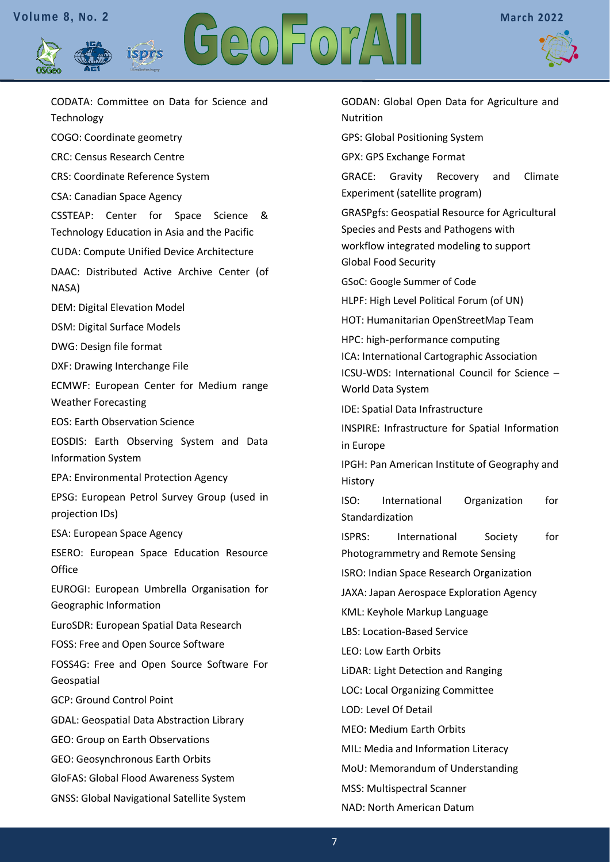isprs





CODATA: Committee on Data for Science and Technology COGO: Coordinate geometry CRC: Census Research Centre CRS: Coordinate Reference System CSA: Canadian Space Agency CSSTEAP: Center for Space Science & Technology Education in Asia and the Pacific CUDA: Compute Unified Device Architecture DAAC: Distributed Active Archive Center (of NASA) DEM: Digital Elevation Model DSM: Digital Surface Models DWG: Design file format DXF: Drawing Interchange File ECMWF: European Center for Medium range Weather Forecasting EOS: Earth Observation Science EOSDIS: Earth Observing System and Data Information System EPA: Environmental Protection Agency EPSG: European Petrol Survey Group (used in projection IDs) ESA: European Space Agency ESERO: European Space Education Resource **Office** EUROGI: European Umbrella Organisation for Geographic Information EuroSDR: European Spatial Data Research FOSS: Free and Open Source Software FOSS4G: Free and Open Source Software For Geospatial GCP: Ground Control Point GDAL: Geospatial Data Abstraction Library GEO: Group on Earth Observations GEO: Geosynchronous Earth Orbits GloFAS: Global Flood Awareness System GNSS: Global Navigational Satellite System

GODAN: Global Open Data for Agriculture and Nutrition GPS: Global Positioning System GPX: GPS Exchange Format GRACE: Gravity Recovery and Climate Experiment (satellite program) GRASPgfs: Geospatial Resource for Agricultural Species and Pests and Pathogens with workflow integrated modeling to support Global Food Security GSoC: Google Summer of Code HLPF: High Level Political Forum (of UN) HOT: Humanitarian OpenStreetMap Team HPC: high-performance computing ICA: International Cartographic Association ICSU-WDS: International Council for Science – World Data System IDE: Spatial Data Infrastructure INSPIRE: Infrastructure for Spatial Information in Europe IPGH: Pan American Institute of Geography and History ISO: International Organization for Standardization ISPRS: International Society for Photogrammetry and Remote Sensing ISRO: Indian Space Research Organization JAXA: Japan Aerospace Exploration Agency KML: Keyhole Markup Language LBS: Location-Based Service LEO: Low Earth Orbits LiDAR: Light Detection and Ranging LOC: Local Organizing Committee LOD: Level Of Detail MEO: Medium Earth Orbits MIL: Media and Information Literacy MoU: Memorandum of Understanding MSS: Multispectral Scanner NAD: North American Datum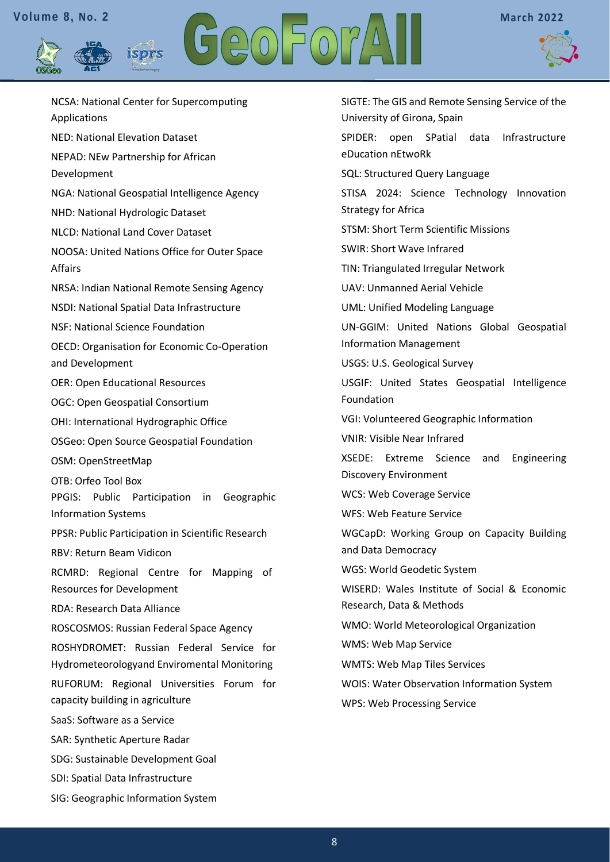isprs





NCSA: National Center for Supercomputing Applications NED: National Elevation Dataset NEPAD: NEw Partnership for African Development NGA: National Geospatial Intelligence Agency NHD: National Hydrologic Dataset NLCD: National Land Cover Dataset NOOSA: United Nations Office for Outer Space Affairs NRSA: Indian National Remote Sensing Agency NSDI: National Spatial Data Infrastructure NSF: National Science Foundation OECD: Organisation for Economic Co-Operation and Development OER: Open Educational Resources OGC: Open Geospatial Consortium OHI: International Hydrographic Office OSGeo: Open Source Geospatial Foundation OSM: OpenStreetMap OTB: Orfeo Tool Box PPGIS: Public Participation in Geographic Information Systems PPSR: Public Participation in Scientific Research RBV: Return Beam Vidicon RCMRD: Regional Centre for Mapping of Resources for Development RDA: Research Data Alliance ROSCOSMOS: Russian Federal Space Agency ROSHYDROMET: Russian Federal Service for Hydrometeorologyand Enviromental Monitoring RUFORUM: Regional Universities Forum for capacity building in agriculture SaaS: Software as a Service SAR: Synthetic Aperture Radar SDG: Sustainable Development Goal SDI: Spatial Data Infrastructure SIG: Geographic Information System

<span id="page-7-0"></span>SIGTE: The GIS and Remote Sensing Service of the University of Girona, Spain SPIDER: open SPatial data Infrastructure eDucation nEtwoRk SQL: Structured Query Language STISA 2024: Science Technology Innovation Strategy for Africa STSM: Short Term Scientific Missions SWIR: Short Wave Infrared TIN: Triangulated Irregular Network UAV: Unmanned Aerial Vehicle UML: Unified Modeling Language UN-GGIM: United Nations Global Geospatial Information Management USGS: U.S. Geological Survey USGIF: United States Geospatial Intelligence Foundation VGI: Volunteered Geographic Information VNIR: Visible Near Infrared XSEDE: Extreme Science and Engineering Discovery Environment WCS: Web Coverage Service WFS: Web Feature Service WGCapD: Working Group on Capacity Building and Data Democracy WGS: World Geodetic System WISERD: Wales Institute of Social & Economic Research, Data & Methods WMO: World Meteorological Organization WMS: Web Map Service WMTS: Web Map Tiles Services WOIS: Water Observation Information System WPS: Web Processing Service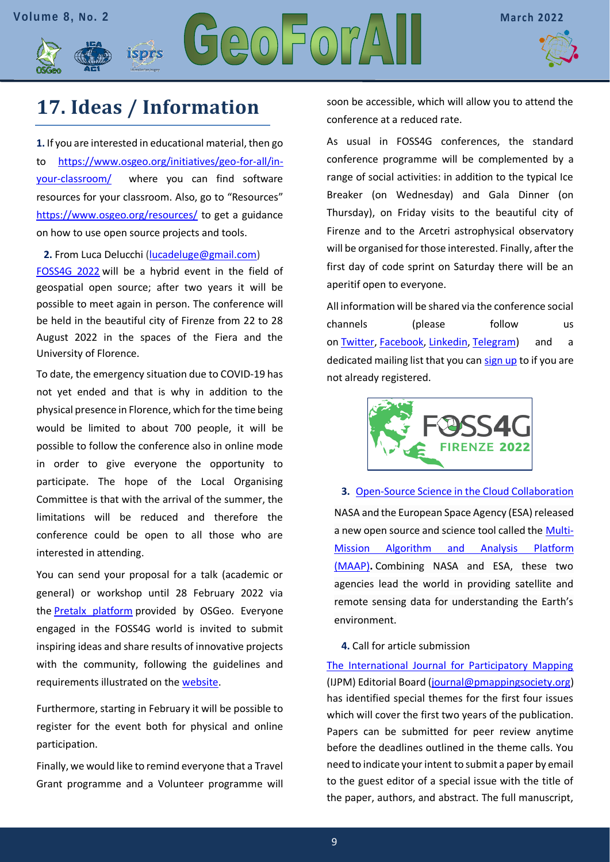

## **[17. Ideas / Information](#page-7-0)**

isprs

**1.** If you are interested in educational material, then go to [https://www.osgeo.org/initiatives/geo-for-all/in](https://www.osgeo.org/initiatives/geo-for-all/in-your-classroom/)[your-classroom/](https://www.osgeo.org/initiatives/geo-for-all/in-your-classroom/) where you can find software resources for your classroom. Also, go to "Resources" <https://www.osgeo.org/resources/> to get a guidance on how to use open source projects and tools.

**2.** From Luca Delucchi [\(lucadeluge@gmail.com\)](mailto:lucadeluge@gmail.com) [FOSS4G 2022](https://2022.foss4g.org/) will be a hybrid event in the field of geospatial open source; after two years it will be possible to meet again in person. The conference will be held in the beautiful city of Firenze from 22 to 28 August 2022 in the spaces of the Fiera and the University of Florence.

To date, the emergency situation due to COVID-19 has not yet ended and that is why in addition to the physical presence in Florence, which for the time being would be limited to about 700 people, it will be possible to follow the conference also in online mode in order to give everyone the opportunity to participate. The hope of the Local Organising Committee is that with the arrival of the summer, the limitations will be reduced and therefore the conference could be open to all those who are interested in attending.

You can send your proposal for a talk (academic or general) or workshop until 28 February 2022 via the [Pretalx platform](https://talks.osgeo.org/) provided by OSGeo. Everyone engaged in the FOSS4G world is invited to submit inspiring ideas and share results of innovative projects with the community, following the guidelines and requirements illustrated on the [website.](https://2022.foss4g.org/call_for_paper.php)

Furthermore, starting in February it will be possible to register for the event both for physical and online participation.

Finally, we would like to remind everyone that a Travel Grant programme and a Volunteer programme will soon be accessible, which will allow you to attend the conference at a reduced rate.

As usual in FOSS4G conferences, the standard conference programme will be complemented by a range of social activities: in addition to the typical Ice Breaker (on Wednesday) and Gala Dinner (on Thursday), on Friday visits to the beautiful city of Firenze and to the Arcetri astrophysical observatory will be organised for those interested. Finally, after the first day of code sprint on Saturday there will be an aperitif open to everyone.

All information will be shared via the conference social channels (please follow us on [Twitter,](https://twitter.com/foss4g) [Facebook,](https://www.facebook.com/foss4g2022firenze) [Linkedin,](https://www.linkedin.com/company/foss4g2022firenze) [Telegram\)](https://t.me/foss4g2022firenze) and a dedicated mailing list that you can [sign up](http://eepurl.com/gxPUJH) to if you are not already registered.



**3.** [Open-Source Science in the Cloud Collaboration](https://www.gislounge.com/platform-for-analyzing-geospatial-data-in-the-cloud/?utm_medium=email&utm_campaign=GISNL-2022-Jan-27&utm_source=YMLP) NASA and the European Space Agency (ESA) released a new open source and science tool called the [Multi-](https://scimaap.net/)[Mission Algorithm and Analysis Platform](https://scimaap.net/)  [\(MAAP\)](https://scimaap.net/)**.** Combining NASA and ESA, these two agencies lead the world in providing satellite and remote sensing data for understanding the Earth's environment.

**4.** Call for article submission

[The International Journal for Participatory Mapping](https://ljpm.geolive.ca/index.php/Mapping-for-Change/about) (IJPM) Editorial Board [\(journal@pmappingsociety.org\)](mailto:journal@pmappingsociety.org) has identified special themes for the first four issues which will cover the first two years of the publication. Papers can be submitted for peer review anytime before the deadlines outlined in the theme calls. You need to indicate your intent to submit a paper by email to the guest editor of a special issue with the title of the paper, authors, and abstract. The full manuscript,